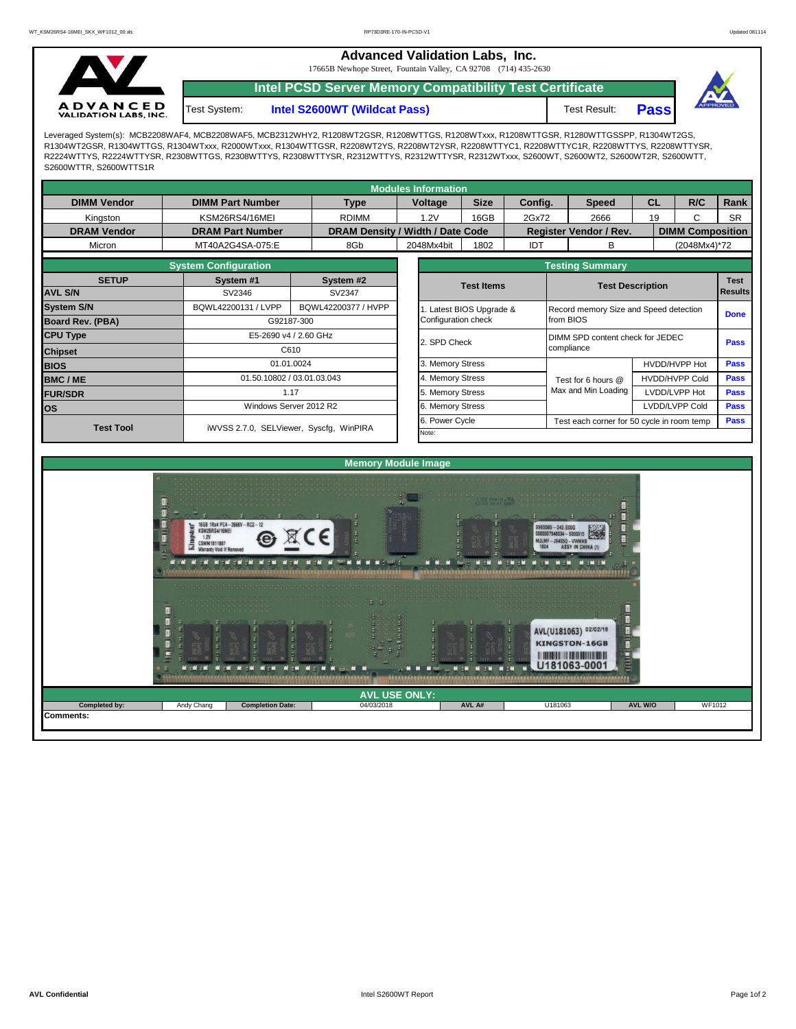**Advanced Validation Labs, Inc.** 

17665B Newhope Street, Fountain Valley, CA 92708 (714) 435-2630



**Intel PCSD Server Memory Compatibility Test Certificate**

Test System: **Intel S2600WT (Wildcat Pass)** Test Result: **Pass** 



Leveraged System(s): MCB2208WAF4, MCB2208WAF5, MCB2312WHY2, R1208WT2GSR, R1208WTTGS, R1208WTxxx, R1208WTTGSR, R1280WTTGSSPP, R1304WT2GS, R1304WT2GSR, R1304WTTGS, R1304WTxxx, R2000WTxxx, R1304WTTGSR, R2208WT2YS, R2208WT2YSR, R2208WTTYC1, R2208WTTYC1R, R2208WTTYS, R2208WTTYSR, R2224WTTYS, R2224WTTYSR, R2308WTTGS, R2308WTTYS, R2308WTTYSR, R2312WTTYS, R2312WTTYSR, R2312WTxxx, S2600WT, S2600WT2, S2600WT2R, S2600WTT, S2600WTTR, S2600WTTS1R

| <b>Modules Information</b> |                            |                                         |                  |  |                                  |                    |                                                              |                                  |                               |                                        |                         |             |             |  |  |
|----------------------------|----------------------------|-----------------------------------------|------------------|--|----------------------------------|--------------------|--------------------------------------------------------------|----------------------------------|-------------------------------|----------------------------------------|-------------------------|-------------|-------------|--|--|
| <b>DIMM Vendor</b>         | <b>DIMM Part Number</b>    |                                         | <b>Type</b>      |  | <b>Voltage</b>                   | <b>Size</b>        | Config.                                                      |                                  | <b>Speed</b>                  | <b>CL</b>                              |                         | R/C         | Rank        |  |  |
| Kingston                   | KSM26RS4/16MEI             |                                         | <b>RDIMM</b>     |  | 1.2V                             | 16GB               | 2Gx72                                                        |                                  | 2666                          | 19                                     |                         | C           | <b>SR</b>   |  |  |
| <b>DRAM Vendor</b>         | <b>DRAM Part Number</b>    |                                         |                  |  | DRAM Density / Width / Date Code |                    |                                                              |                                  | <b>Register Vendor / Rev.</b> |                                        | <b>DIMM Composition</b> |             |             |  |  |
| Micron                     | MT40A2G4SA-075:E           |                                         | 8Gb              |  | 2048Mx4bit                       | 1802<br><b>IDT</b> |                                                              |                                  | В                             |                                        | (2048Mx4)*72            |             |             |  |  |
|                            |                            | <b>Testing Summary</b>                  |                  |  |                                  |                    |                                                              |                                  |                               |                                        |                         |             |             |  |  |
| <b>SETUP</b>               | System #1                  | System #2                               |                  |  |                                  |                    |                                                              | <b>Test Description</b>          |                               |                                        |                         | <b>Test</b> |             |  |  |
| <b>AVL S/N</b>             | SV2346                     |                                         | SV2347           |  | <b>Test Items</b>                |                    |                                                              |                                  | <b>Results</b>                |                                        |                         |             |             |  |  |
| <b>System S/N</b>          | BQWL42200131 / LVPP        | BQWL42200377 / HVPP                     |                  |  |                                  |                    | Latest BIOS Upgrade &                                        |                                  |                               | Record memory Size and Speed detection |                         |             |             |  |  |
| <b>Board Rev. (PBA)</b>    |                            | G92187-300                              |                  |  |                                  |                    |                                                              | from BIOS                        |                               |                                        |                         |             | <b>Done</b> |  |  |
| <b>CPU Type</b>            |                            | E5-2690 v4 / 2.60 GHz                   |                  |  | 2. SPD Check                     |                    |                                                              | DIMM SPD content check for JEDEC |                               |                                        |                         |             | <b>Pass</b> |  |  |
| <b>Chipset</b>             | C610                       |                                         |                  |  |                                  |                    | compliance                                                   |                                  |                               |                                        |                         |             |             |  |  |
| <b>BIOS</b>                | 01.01.0024                 |                                         |                  |  | 3. Memory Stress                 |                    |                                                              |                                  |                               | HVDD/HVPP Hot                          |                         |             | <b>Pass</b> |  |  |
| <b>BMC/ME</b>              | 01.50.10802 / 03.01.03.043 |                                         | 4. Memory Stress |  |                                  |                    |                                                              | Test for 6 hours @               |                               | <b>HVDD/HVPP Cold</b>                  | <b>Pass</b>             |             |             |  |  |
| <b>FUR/SDR</b>             |                            | 1.17                                    |                  |  | 5. Memory Stress                 |                    |                                                              |                                  | Max and Min Loading           |                                        | LVDD/LVPP Hot           |             | <b>Pass</b> |  |  |
| <b>los</b>                 | Windows Server 2012 R2     |                                         | 6. Memory Stress |  |                                  |                    |                                                              |                                  |                               | LVDD/LVPP Cold                         |                         | Pass        |             |  |  |
| <b>Test Tool</b>           |                            | iWVSS 2.7.0, SELViewer, Syscfq, WinPIRA |                  |  |                                  |                    | 6. Power Cycle<br>Test each corner for 50 cycle in room temp |                                  |                               |                                        |                         |             |             |  |  |
|                            |                            |                                         |                  |  | Note:                            |                    |                                                              |                                  |                               |                                        |                         |             |             |  |  |